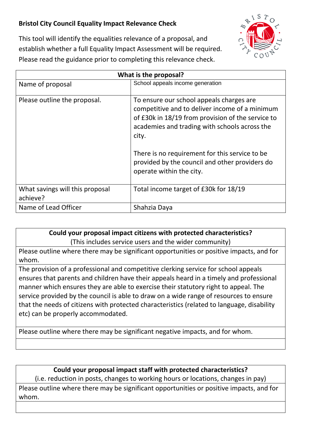## **Bristol City Council Equality Impact Relevance Check**



This tool will identify the equalities relevance of a proposal, and establish whether a full Equality Impact Assessment will be required. Please read the guidance prior to completing this relevance check.

| What is the proposal?                       |                                                                                                                                                                                                                                                                                                                                           |
|---------------------------------------------|-------------------------------------------------------------------------------------------------------------------------------------------------------------------------------------------------------------------------------------------------------------------------------------------------------------------------------------------|
| Name of proposal                            | School appeals income generation                                                                                                                                                                                                                                                                                                          |
| Please outline the proposal.                | To ensure our school appeals charges are<br>competitive and to deliver income of a minimum<br>of £30k in 18/19 from provision of the service to<br>academies and trading with schools across the<br>city.<br>There is no requirement for this service to be<br>provided by the council and other providers do<br>operate within the city. |
| What savings will this proposal<br>achieve? | Total income target of £30k for 18/19                                                                                                                                                                                                                                                                                                     |
| Name of Lead Officer                        | Shahzia Daya                                                                                                                                                                                                                                                                                                                              |

## **Could your proposal impact citizens with protected characteristics?** (This includes service users and the wider community)

Please outline where there may be significant opportunities or positive impacts, and for whom.

The provision of a professional and competitive clerking service for school appeals ensures that parents and children have their appeals heard in a timely and professional manner which ensures they are able to exercise their statutory right to appeal. The service provided by the council is able to draw on a wide range of resources to ensure that the needs of citizens with protected characteristics (related to language, disability etc) can be properly accommodated.

Please outline where there may be significant negative impacts, and for whom.

## **Could your proposal impact staff with protected characteristics?**

(i.e. reduction in posts, changes to working hours or locations, changes in pay)

Please outline where there may be significant opportunities or positive impacts, and for whom.